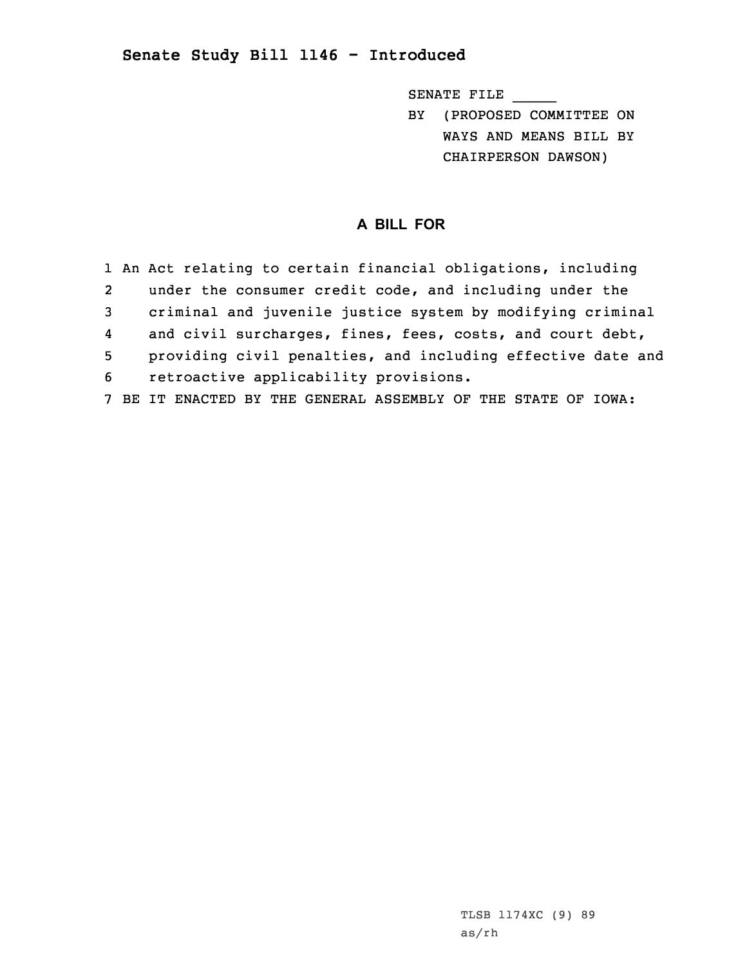## **Senate Study Bill 1146 - Introduced**

SENATE FILE \_\_\_\_\_

BY (PROPOSED COMMITTEE ON WAYS AND MEANS BILL BY CHAIRPERSON DAWSON)

## **A BILL FOR**

|   | 1 An Act relating to certain financial obligations, including |
|---|---------------------------------------------------------------|
| 2 | under the consumer credit code, and including under the       |
| 3 | criminal and juvenile justice system by modifying criminal    |
| 4 | and civil surcharges, fines, fees, costs, and court debt,     |
| 5 | providing civil penalties, and including effective date and   |
| 6 | retroactive applicability provisions.                         |
|   | BE IT ENACTED BY THE GENERAL ASSEMBLY OF THE STATE OF IOWA:   |

TLSB 1174XC (9) 89 as/rh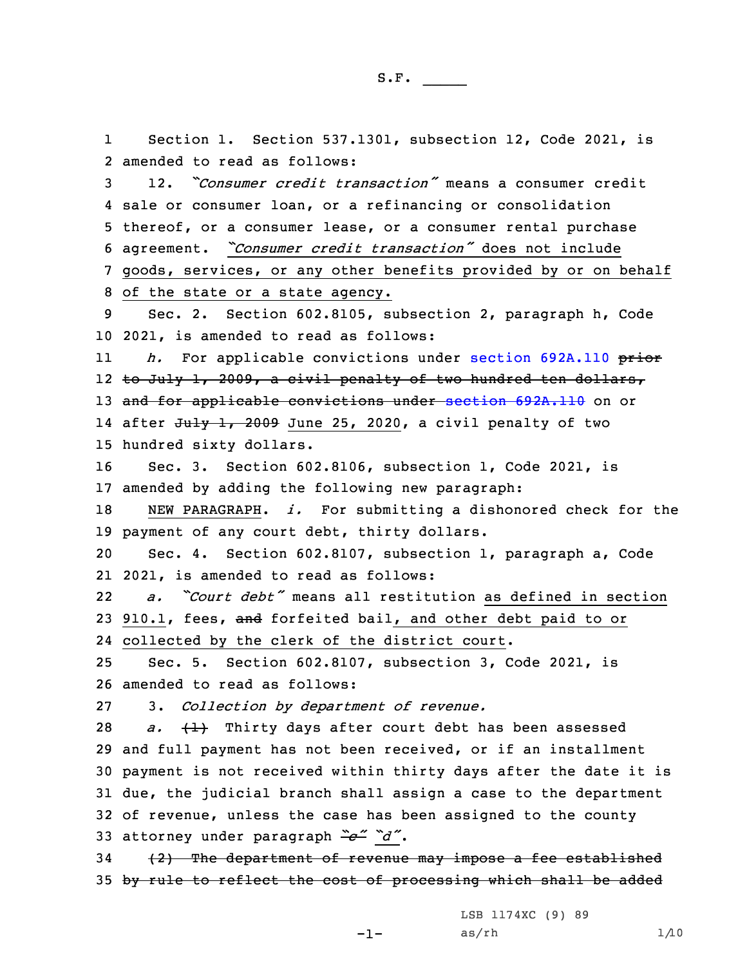1 Section 1. Section 537.1301, subsection 12, Code 2021, is amended to read as follows: 12. *"Consumer credit transaction"* means <sup>a</sup> consumer credit sale or consumer loan, or <sup>a</sup> refinancing or consolidation thereof, or <sup>a</sup> consumer lease, or <sup>a</sup> consumer rental purchase agreement. *"Consumer credit transaction"* does not include goods, services, or any other benefits provided by or on behalf of the state or <sup>a</sup> state agency. Sec. 2. Section 602.8105, subsection 2, paragraph h, Code 2021, is amended to read as follows: 11 *h.* For applicable convictions under section [692A.110](https://www.legis.iowa.gov/docs/code/2021/692A.110.pdf) prior to July 1, 2009, <sup>a</sup> civil penalty of two hundred ten dollars, 13 and for applicable convictions under section [692A.110](https://www.legis.iowa.gov/docs/code/2021/692A.110.pdf) on or 14 after <del>July 1, 2009</del> June 25, 2020, a civil penalty of two hundred sixty dollars. Sec. 3. Section 602.8106, subsection 1, Code 2021, is amended by adding the following new paragraph: NEW PARAGRAPH. *i.* For submitting <sup>a</sup> dishonored check for the payment of any court debt, thirty dollars. Sec. 4. Section 602.8107, subsection 1, paragraph a, Code 2021, is amended to read as follows: 22 *a. "Court debt"* means all restitution as defined in section 23 910.1, fees, and forfeited bail, and other debt paid to or collected by the clerk of the district court. Sec. 5. Section 602.8107, subsection 3, Code 2021, is amended to read as follows: 3. *Collection by department of revenue. a.*  $\left\{\pm\right\}$  Thirty days after court debt has been assessed and full payment has not been received, or if an installment payment is not received within thirty days after the date it is due, the judicial branch shall assign <sup>a</sup> case to the department of revenue, unless the case has been assigned to the county attorney under paragraph *"c" "d"*. (2) The department of revenue may impose <sup>a</sup> fee established 35 by rule to reflect the cost of processing which shall be added  $-1-$ LSB 1174XC (9) 89  $as/rh$   $1/10$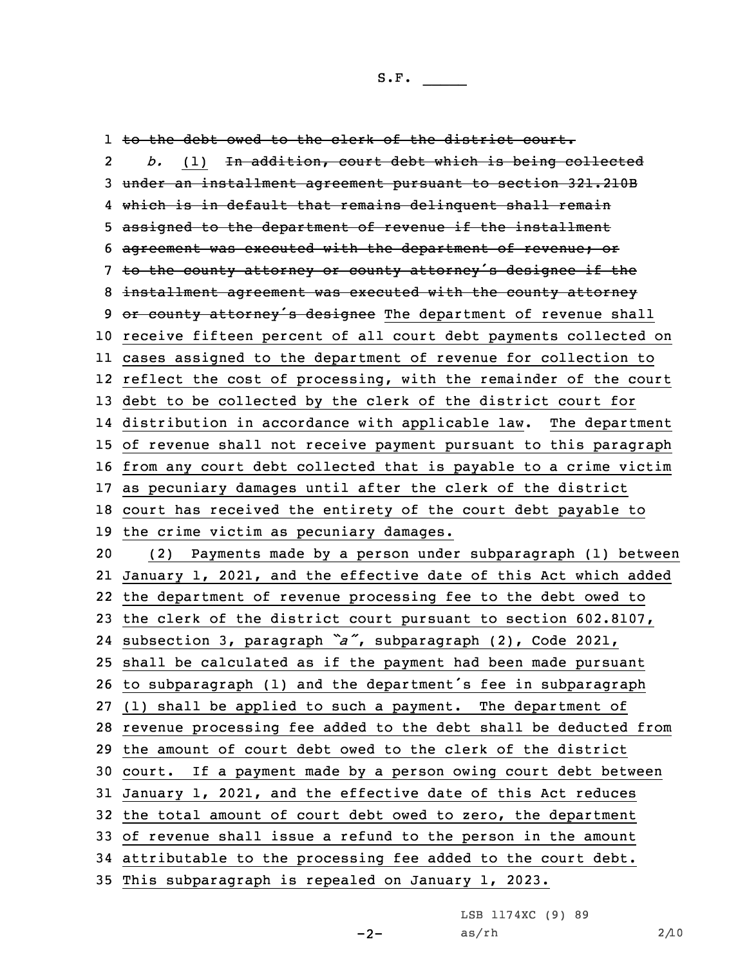1 to the debt owed to the clerk of the district court. 2 *b.* (1) In addition, court debt which is being collected under an installment agreement pursuant to section 321.210B which is in default that remains delinquent shall remain assigned to the department of revenue if the installment agreement was executed with the department of revenue; or 7 to the county attorney or county attorney's designee if the installment agreement was executed with the county attorney 9 or county attorney's designee The department of revenue shall receive fifteen percent of all court debt payments collected on cases assigned to the department of revenue for collection to reflect the cost of processing, with the remainder of the court debt to be collected by the clerk of the district court for distribution in accordance with applicable law. The department of revenue shall not receive payment pursuant to this paragraph from any court debt collected that is payable to <sup>a</sup> crime victim as pecuniary damages until after the clerk of the district court has received the entirety of the court debt payable to the crime victim as pecuniary damages. (2) Payments made by <sup>a</sup> person under subparagraph (1) between January 1, 2021, and the effective date of this Act which added the department of revenue processing fee to the debt owed to the clerk of the district court pursuant to section 602.8107, subsection 3, paragraph *"a"*, subparagraph (2), Code 2021, shall be calculated as if the payment had been made pursuant to subparagraph (1) and the department's fee in subparagraph (1) shall be applied to such <sup>a</sup> payment. The department of revenue processing fee added to the debt shall be deducted from the amount of court debt owed to the clerk of the district court. If <sup>a</sup> payment made by <sup>a</sup> person owing court debt between January 1, 2021, and the effective date of this Act reduces the total amount of court debt owed to zero, the department of revenue shall issue <sup>a</sup> refund to the person in the amount attributable to the processing fee added to the court debt. This subparagraph is repealed on January 1, 2023.

LSB 1174XC (9) 89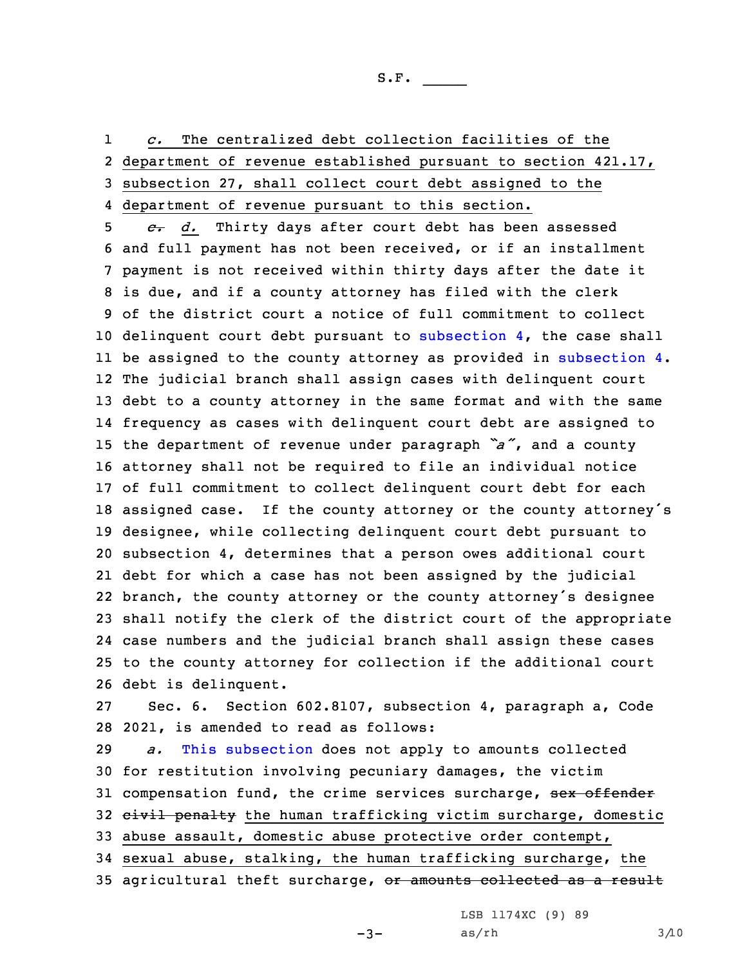1 *c.* The centralized debt collection facilities of the 2 department of revenue established pursuant to section 421.17, 3 subsection 27, shall collect court debt assigned to the 4 department of revenue pursuant to this section.

 *c. d.* Thirty days after court debt has been assessed and full payment has not been received, or if an installment payment is not received within thirty days after the date it is due, and if <sup>a</sup> county attorney has filed with the clerk of the district court <sup>a</sup> notice of full commitment to collect delinquent court debt pursuant to [subsection](https://www.legis.iowa.gov/docs/code/2021/602.8107.pdf) 4, the case shall be assigned to the county attorney as provided in [subsection](https://www.legis.iowa.gov/docs/code/2021/602.8107.pdf) 4. The judicial branch shall assign cases with delinquent court debt to <sup>a</sup> county attorney in the same format and with the same frequency as cases with delinquent court debt are assigned to the department of revenue under paragraph *"a"*, and <sup>a</sup> county attorney shall not be required to file an individual notice of full commitment to collect delinquent court debt for each assigned case. If the county attorney or the county attorney's designee, while collecting delinquent court debt pursuant to subsection 4, determines that <sup>a</sup> person owes additional court debt for which <sup>a</sup> case has not been assigned by the judicial branch, the county attorney or the county attorney's designee shall notify the clerk of the district court of the appropriate case numbers and the judicial branch shall assign these cases to the county attorney for collection if the additional court debt is delinquent.

27 Sec. 6. Section 602.8107, subsection 4, paragraph a, Code 28 2021, is amended to read as follows:

29 *a.* This [subsection](https://www.legis.iowa.gov/docs/code/2021/602.8107.pdf) does not apply to amounts collected 30 for restitution involving pecuniary damages, the victim 31 compensation fund, the crime services surcharge, sex offender 32 eivil penalty the human trafficking victim surcharge, domestic 33 abuse assault, domestic abuse protective order contempt, 34 sexual abuse, stalking, the human trafficking surcharge, the 35 agricultural theft surcharge, or amounts collected as a result

 $-3-$ 

LSB 1174XC (9) 89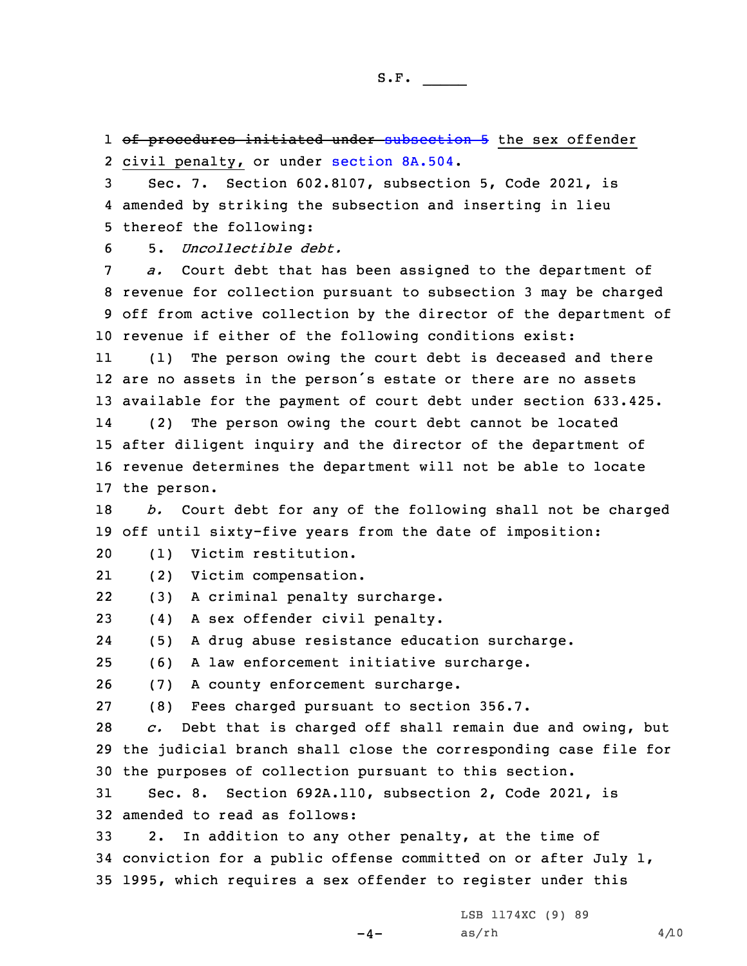1 <del>of procedures initiated under [subsection](https://www.legis.iowa.gov/docs/code/2021/602.8107.pdf) 5</del> the sex offender 2 civil penalty, or under [section](https://www.legis.iowa.gov/docs/code/2021/8A.504.pdf) 8A.504.

3 Sec. 7. Section 602.8107, subsection 5, Code 2021, is 4 amended by striking the subsection and inserting in lieu 5 thereof the following:

6 5. *Uncollectible debt.*

 *a.* Court debt that has been assigned to the department of revenue for collection pursuant to subsection 3 may be charged off from active collection by the director of the department of revenue if either of the following conditions exist:

11 (1) The person owing the court debt is deceased and there 12 are no assets in the person's estate or there are no assets 13 available for the payment of court debt under section 633.425.

14 (2) The person owing the court debt cannot be located 15 after diligent inquiry and the director of the department of 16 revenue determines the department will not be able to locate 17 the person.

18 *b.* Court debt for any of the following shall not be charged 19 off until sixty-five years from the date of imposition:

20 (1) Victim restitution.

21(2) Victim compensation.

22(3) <sup>A</sup> criminal penalty surcharge.

23 (4) <sup>A</sup> sex offender civil penalty.

24(5) <sup>A</sup> drug abuse resistance education surcharge.

25 (6) <sup>A</sup> law enforcement initiative surcharge.

26 (7) A county enforcement surcharge.

27 (8) Fees charged pursuant to section 356.7.

28 *c.* Debt that is charged off shall remain due and owing, but 29 the judicial branch shall close the corresponding case file for 30 the purposes of collection pursuant to this section.

31 Sec. 8. Section 692A.110, subsection 2, Code 2021, is 32 amended to read as follows:

33 2. In addition to any other penalty, at the time of 34 conviction for <sup>a</sup> public offense committed on or after July 1, 35 1995, which requires <sup>a</sup> sex offender to register under this

LSB 1174XC (9) 89

 $-4-$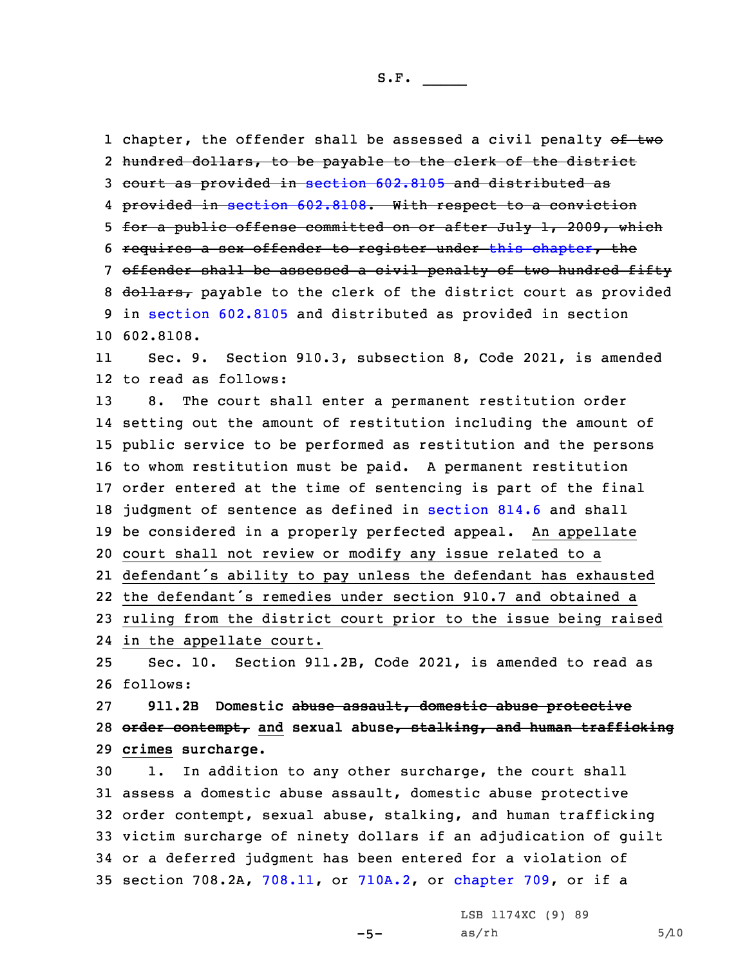1 chapter, the offender shall be assessed a civil penalty <del>of two</del> hundred dollars, to be payable to the clerk of the district court as provided in section [602.8105](https://www.legis.iowa.gov/docs/code/2021/602.8105.pdf) and distributed as provided in section [602.8108](https://www.legis.iowa.gov/docs/code/2021/602.8108.pdf). With respect to <sup>a</sup> conviction 5 for a public offense committed on or after July 1, 2009, which requires <sup>a</sup> sex offender to register under this [chapter](https://www.legis.iowa.gov/docs/code/2021/692A.pdf), the offender shall be assessed <sup>a</sup> civil penalty of two hundred fifty 8 dollars, payable to the clerk of the district court as provided in section [602.8105](https://www.legis.iowa.gov/docs/code/2021/602.8105.pdf) and distributed as provided in section 602.8108. 11 Sec. 9. Section 910.3, subsection 8, Code 2021, is amended to read as follows: 8. The court shall enter <sup>a</sup> permanent restitution order setting out the amount of restitution including the amount of public service to be performed as restitution and the persons to whom restitution must be paid. <sup>A</sup> permanent restitution order entered at the time of sentencing is part of the final 18 judgment of sentence as defined in [section](https://www.legis.iowa.gov/docs/code/2021/814.6.pdf) 814.6 and shall be considered in <sup>a</sup> properly perfected appeal. An appellate court shall not review or modify any issue related to <sup>a</sup> defendant's ability to pay unless the defendant has exhausted the defendant's remedies under section 910.7 and obtained <sup>a</sup> ruling from the district court prior to the issue being raised in the appellate court. Sec. 10. Section 911.2B, Code 2021, is amended to read as 26 follows: **911.2B Domestic abuse assault, domestic abuse protective order contempt, and sexual abuse, stalking, and human trafficking crimes surcharge.** 1. In addition to any other surcharge, the court shall assess <sup>a</sup> domestic abuse assault, domestic abuse protective

 order contempt, sexual abuse, stalking, and human trafficking victim surcharge of ninety dollars if an adjudication of guilt or <sup>a</sup> deferred judgment has been entered for <sup>a</sup> violation of section 708.2A, [708.11](https://www.legis.iowa.gov/docs/code/2021/708.11.pdf), or [710A.2](https://www.legis.iowa.gov/docs/code/2021/710A.2.pdf), or [chapter](https://www.legis.iowa.gov/docs/code/2021/709.pdf) 709, or if <sup>a</sup>

-5-

LSB 1174XC (9) 89  $as/rh$  5/10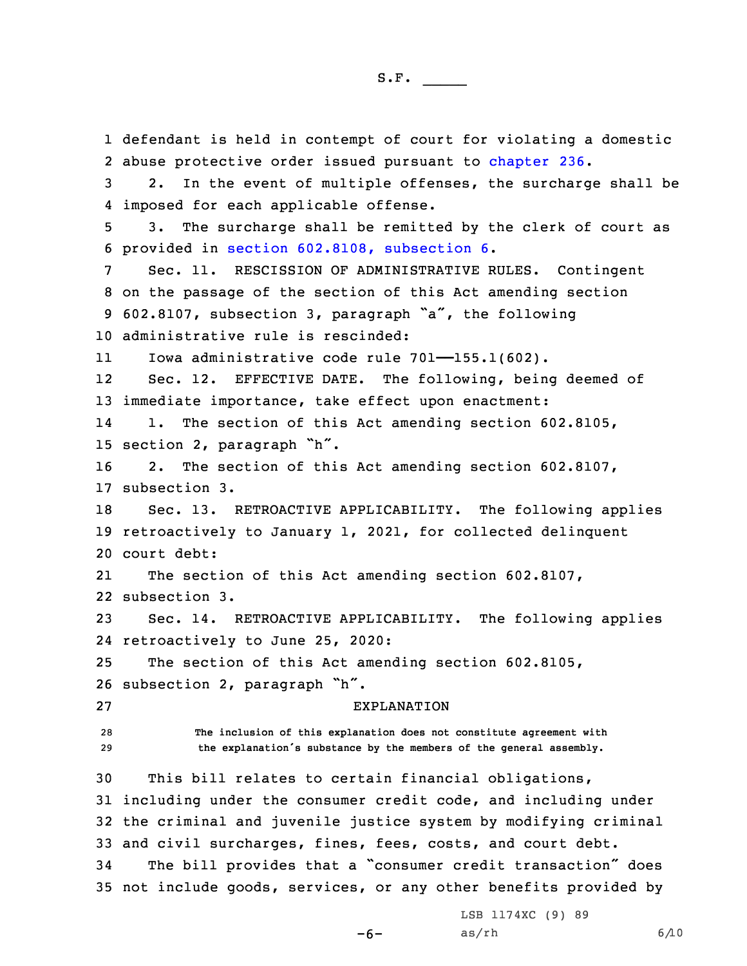defendant is held in contempt of court for violating <sup>a</sup> domestic 2 abuse protective order issued pursuant to [chapter](https://www.legis.iowa.gov/docs/code/2021/236.pdf) 236. 2. In the event of multiple offenses, the surcharge shall be imposed for each applicable offense. 3. The surcharge shall be remitted by the clerk of court as provided in section [602.8108,](https://www.legis.iowa.gov/docs/code/2021/602.8108.pdf) subsection 6. Sec. 11. RESCISSION OF ADMINISTRATIVE RULES. Contingent on the passage of the section of this Act amending section 602.8107, subsection 3, paragraph "a", the following administrative rule is rescinded: 11 Iowa administrative code rule 701——155.1(602). 12 Sec. 12. EFFECTIVE DATE. The following, being deemed of immediate importance, take effect upon enactment: 14 1. The section of this Act amending section 602.8105, section 2, paragraph "h". 2. The section of this Act amending section 602.8107, subsection 3. Sec. 13. RETROACTIVE APPLICABILITY. The following applies retroactively to January 1, 2021, for collected delinquent court debt: 21The section of this Act amending section 602.8107, subsection 3. Sec. 14. RETROACTIVE APPLICABILITY. The following applies retroactively to June 25, 2020: The section of this Act amending section 602.8105, subsection 2, paragraph "h". EXPLANATION **The inclusion of this explanation does not constitute agreement with the explanation's substance by the members of the general assembly.** This bill relates to certain financial obligations, including under the consumer credit code, and including under the criminal and juvenile justice system by modifying criminal and civil surcharges, fines, fees, costs, and court debt. The bill provides that <sup>a</sup> "consumer credit transaction" does not include goods, services, or any other benefits provided by

 $-6-$ 

LSB 1174XC (9) 89 as/rh 6/10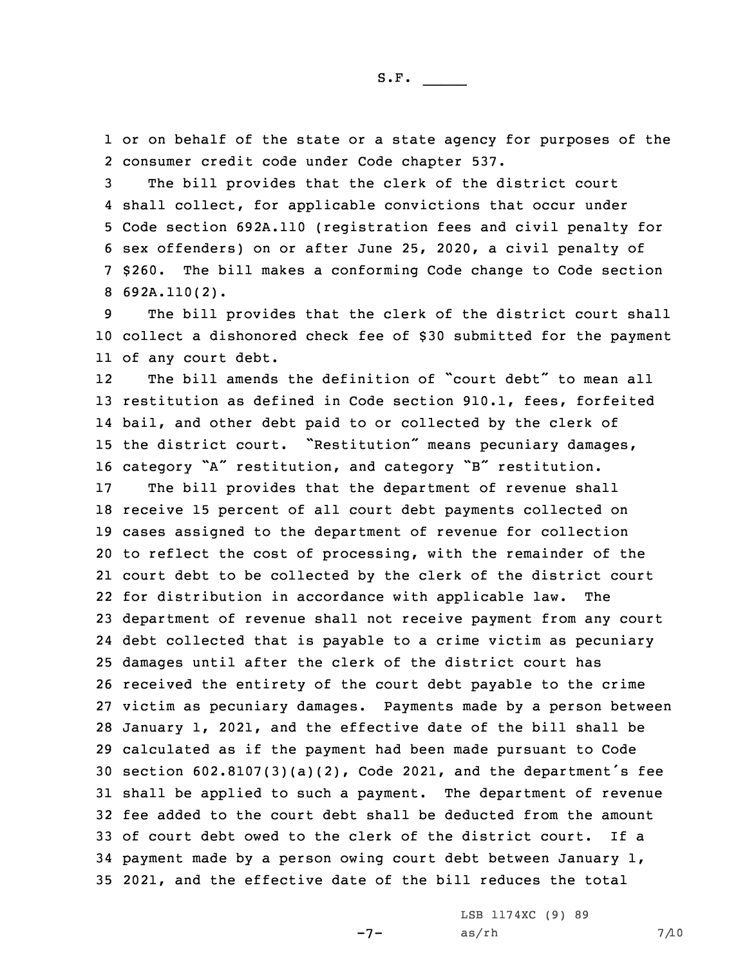1 or on behalf of the state or <sup>a</sup> state agency for purposes of the 2 consumer credit code under Code chapter 537.

 The bill provides that the clerk of the district court shall collect, for applicable convictions that occur under Code section 692A.110 (registration fees and civil penalty for sex offenders) on or after June 25, 2020, <sup>a</sup> civil penalty of \$260. The bill makes <sup>a</sup> conforming Code change to Code section 692A.110(2).

9 The bill provides that the clerk of the district court shall 10 collect <sup>a</sup> dishonored check fee of \$30 submitted for the payment 11 of any court debt.

12 The bill amends the definition of "court debt" to mean all restitution as defined in Code section 910.1, fees, forfeited bail, and other debt paid to or collected by the clerk of the district court. "Restitution" means pecuniary damages, category "A" restitution, and category "B" restitution.

 The bill provides that the department of revenue shall receive 15 percent of all court debt payments collected on cases assigned to the department of revenue for collection to reflect the cost of processing, with the remainder of the court debt to be collected by the clerk of the district court for distribution in accordance with applicable law. The department of revenue shall not receive payment from any court debt collected that is payable to <sup>a</sup> crime victim as pecuniary damages until after the clerk of the district court has received the entirety of the court debt payable to the crime victim as pecuniary damages. Payments made by <sup>a</sup> person between January 1, 2021, and the effective date of the bill shall be calculated as if the payment had been made pursuant to Code section 602.8107(3)(a)(2), Code 2021, and the department's fee shall be applied to such <sup>a</sup> payment. The department of revenue fee added to the court debt shall be deducted from the amount of court debt owed to the clerk of the district court. If <sup>a</sup> payment made by <sup>a</sup> person owing court debt between January 1, 2021, and the effective date of the bill reduces the total

-7-

LSB 1174XC (9) 89  $as/rh$  7/10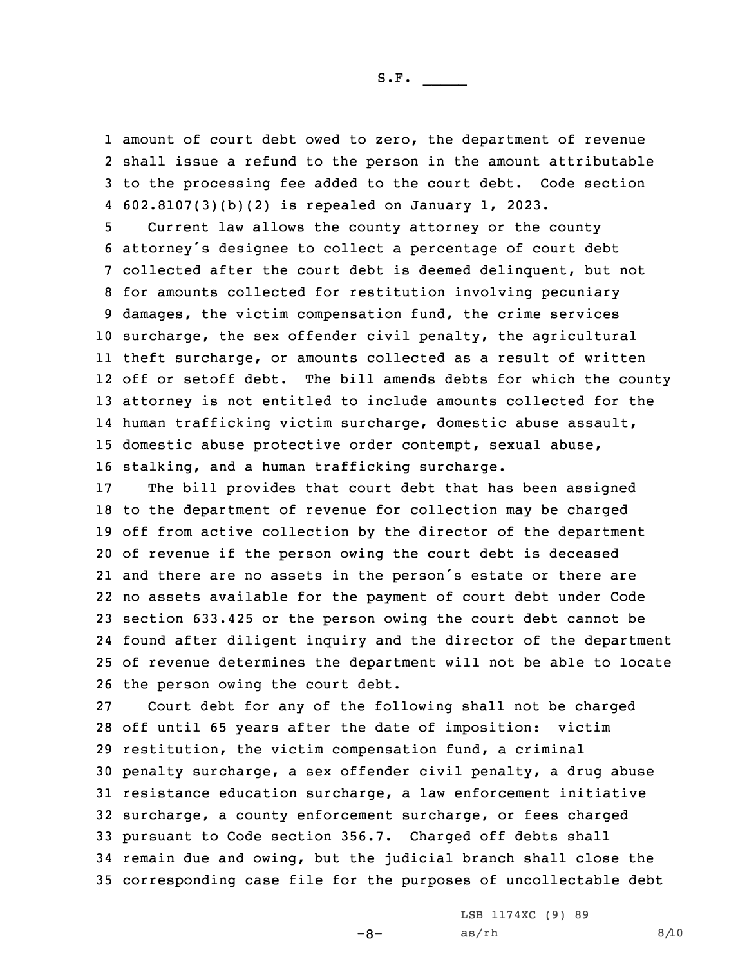amount of court debt owed to zero, the department of revenue shall issue <sup>a</sup> refund to the person in the amount attributable to the processing fee added to the court debt. Code section 602.8107(3)(b)(2) is repealed on January 1, 2023.

 Current law allows the county attorney or the county attorney's designee to collect <sup>a</sup> percentage of court debt collected after the court debt is deemed delinquent, but not for amounts collected for restitution involving pecuniary damages, the victim compensation fund, the crime services surcharge, the sex offender civil penalty, the agricultural theft surcharge, or amounts collected as <sup>a</sup> result of written off or setoff debt. The bill amends debts for which the county attorney is not entitled to include amounts collected for the human trafficking victim surcharge, domestic abuse assault, domestic abuse protective order contempt, sexual abuse, stalking, and <sup>a</sup> human trafficking surcharge.

 The bill provides that court debt that has been assigned to the department of revenue for collection may be charged off from active collection by the director of the department of revenue if the person owing the court debt is deceased and there are no assets in the person's estate or there are no assets available for the payment of court debt under Code section 633.425 or the person owing the court debt cannot be found after diligent inquiry and the director of the department of revenue determines the department will not be able to locate the person owing the court debt.

 Court debt for any of the following shall not be charged off until 65 years after the date of imposition: victim restitution, the victim compensation fund, <sup>a</sup> criminal penalty surcharge, <sup>a</sup> sex offender civil penalty, <sup>a</sup> drug abuse resistance education surcharge, <sup>a</sup> law enforcement initiative surcharge, <sup>a</sup> county enforcement surcharge, or fees charged pursuant to Code section 356.7. Charged off debts shall remain due and owing, but the judicial branch shall close the corresponding case file for the purposes of uncollectable debt

 $-8-$ 

LSB 1174XC (9) 89  $as/rh$  8/10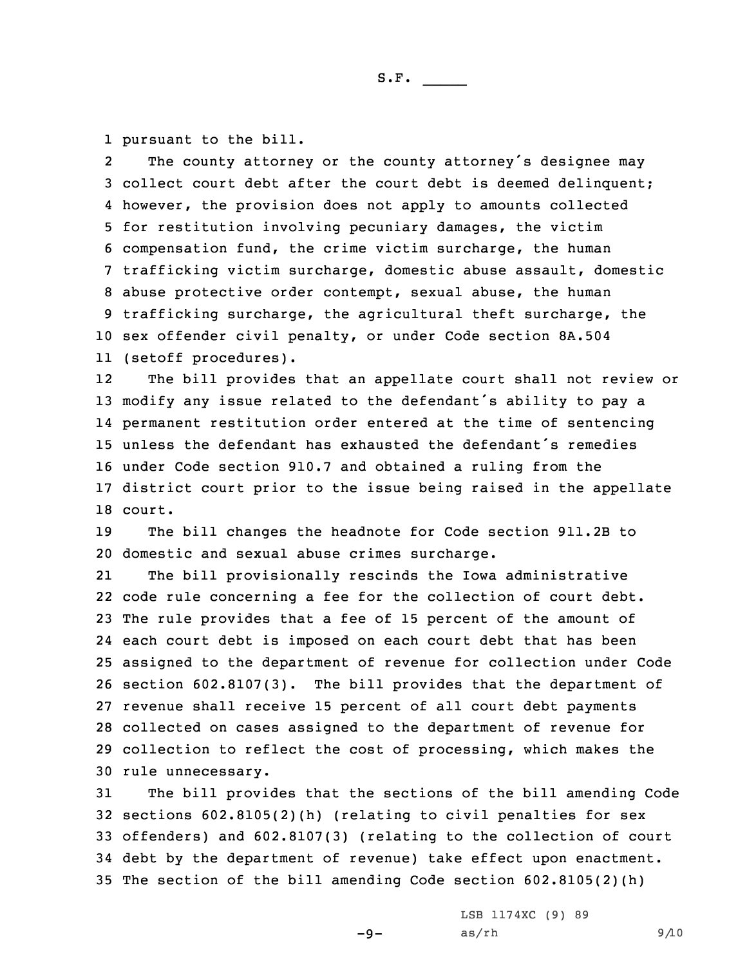S.F.  $\rule{1em}{0.15mm}$ 

1 pursuant to the bill.

2 The county attorney or the county attorney's designee may collect court debt after the court debt is deemed delinquent; however, the provision does not apply to amounts collected for restitution involving pecuniary damages, the victim compensation fund, the crime victim surcharge, the human trafficking victim surcharge, domestic abuse assault, domestic abuse protective order contempt, sexual abuse, the human trafficking surcharge, the agricultural theft surcharge, the sex offender civil penalty, or under Code section 8A.504 (setoff procedures).

12 The bill provides that an appellate court shall not review or modify any issue related to the defendant's ability to pay <sup>a</sup> permanent restitution order entered at the time of sentencing unless the defendant has exhausted the defendant's remedies under Code section 910.7 and obtained <sup>a</sup> ruling from the district court prior to the issue being raised in the appellate 18 court.

19 The bill changes the headnote for Code section 911.2B to 20 domestic and sexual abuse crimes surcharge.

21 The bill provisionally rescinds the Iowa administrative code rule concerning <sup>a</sup> fee for the collection of court debt. The rule provides that <sup>a</sup> fee of 15 percent of the amount of each court debt is imposed on each court debt that has been assigned to the department of revenue for collection under Code section 602.8107(3). The bill provides that the department of revenue shall receive 15 percent of all court debt payments collected on cases assigned to the department of revenue for collection to reflect the cost of processing, which makes the rule unnecessary.

 The bill provides that the sections of the bill amending Code sections 602.8105(2)(h) (relating to civil penalties for sex offenders) and 602.8107(3) (relating to the collection of court debt by the department of revenue) take effect upon enactment. The section of the bill amending Code section 602.8105(2)(h)

 $-9-$ 

LSB 1174XC (9) 89 as/rh 9/10